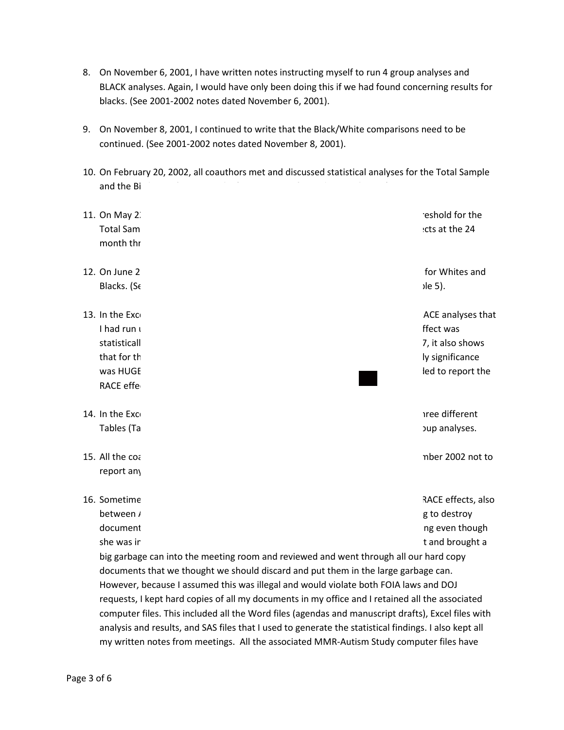- 8. On November 6, 2001, I have written notes instructing myself to run 4 group analyses and BLACK analyses. Again, I would have only been doing this if we had found concerning results for blacks. (See 2001-2002 notes dated November 6, 2001).
- 9. On November 8, 2001, I continued to write that the Black/White comparisons need to be continued. (See 2001-2002 notes dated November 8, 2001).
- 10. On February 20, 2002, all coauthors met and discussed statistical analyses for the Total Sample and the Birth Certificate Sample. (See page 14 of agendas attachment).
- 11. On May 22, 2002, all coauthors met and discussed analysis of the 24 month threshold for the Total Sample. We did this because there were many statistically significant effects at the 24 month threshold. (See page 16 of Agendas Attachment).
- 12. On June 28, 2002, all coauthors met and examined subgroup analyses by RACE for Whites and Blacks. (See page 17 in the Agendas Attachment and handout that includes Table 5).
- 13. In the Excel File named "describe\_results\_2002\_0702.xls", Table 7 shows the RACE analyses that I had run using ONLY the BIRTH CERTIFICATE Sample --- the unadjusted RACE effect was statistically significant. (OR=1.51, [95%CI 1.02 - 2.24]). At the bottom of Table 7, it also shows that for the NON-BIRTH Certificate Sample, the adjusted RACE effect statistically significance was HUGE. (OR=2.94 [95%CI 1.48 - 5.81). That is the main reason why we decided to report the **003**RACE effects for ONLY the BIRTH Certificate Sample. TRUTHIINIMEDIA
- 14. In the Excel File named "describe\_results\_2002\_0801.xls", I split Table 7 into three different Tables (Table 7a, Table 7b, and Table 7c) to further investigate the RACE subgroup analyses.
- 15. All the coauthors met and decided sometime between August 2002 and September 2002 not to report any RACE effects for the paper.
- 16. Sometime soon after the meeting where we decided to exclude reporting any RACE effects, also between August 2002 and September 2002, the coauthors scheduled a meeting to destroy documents related to the study. Dr. Coleen Boyle was not present at the meeting even though she was involved in scheduling that meeting. The remaining 4 coauthors all met and brought a big garbage can into the meeting room and reviewed and went through all our hard copy documents that we thought we should discard and put them in the large garbage can. However, because I assumed this was illegal and would violate both FOIA laws and DOJ requests, I kept hard copies of all my documents in my office and I retained all the associated computer files. This included all the Word files (agendas and manuscript drafts), Excel files with analysis and results, and SAS files that I used to generate the statistical findings. I also kept all my written notes from meetings. All the associated MMR-Autism Study computer files have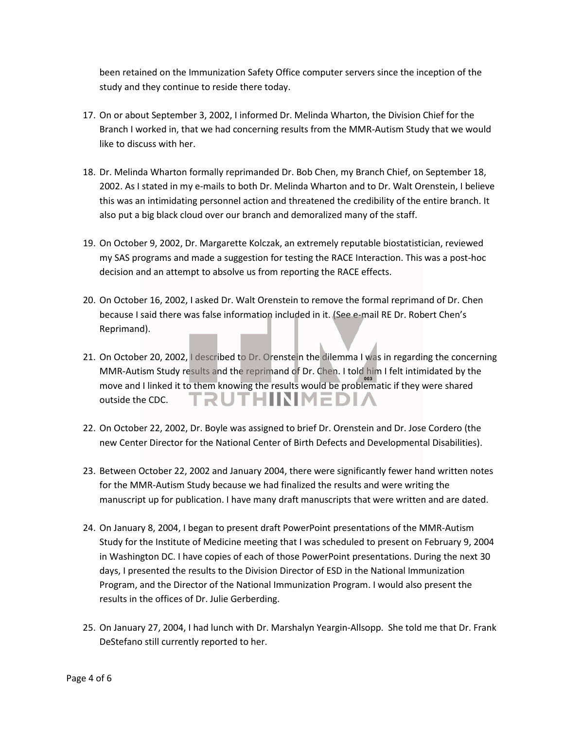been retained on the Immunization Safety Office computer servers since the inception of the study and they continue to reside there today.

- 17. On or about September 3, 2002, I informed Dr. Melinda Wharton, the Division Chief for the Branch I worked in, that we had concerning results from the MMR-Autism Study that we would like to discuss with her.
- 18. Dr. Melinda Wharton formally reprimanded Dr. Bob Chen, my Branch Chief, on September 18, 2002. As I stated in my e-mails to both Dr. Melinda Wharton and to Dr. Walt Orenstein, I believe this was an intimidating personnel action and threatened the credibility of the entire branch. It also put a big black cloud over our branch and demoralized many of the staff.
- 19. On October 9, 2002, Dr. Margarette Kolczak, an extremely reputable biostatistician, reviewed my SAS programs and made a suggestion for testing the RACE Interaction. This was a post-hoc decision and an attempt to absolve us from reporting the RACE effects.
- 20. On October 16, 2002, I asked Dr. Walt Orenstein to remove the formal reprimand of Dr. Chen because I said there was false information included in it. (See e-mail RE Dr. Robert Chen's Reprimand).
- 21. On October 20, 2002, I described to Dr. Orenstein the dilemma I was in regarding the concerning MMR-Autism Study results and the reprimand of Dr. Chen. I told him I felt intimidated by the **003**move and I linked it to them knowing the results would be problematic if they were shared **TRUTHIINIMEDI/** outside the CDC.
- 22. On October 22, 2002, Dr. Boyle was assigned to brief Dr. Orenstein and Dr. Jose Cordero (the new Center Director for the National Center of Birth Defects and Developmental Disabilities).
- 23. Between October 22, 2002 and January 2004, there were significantly fewer hand written notes for the MMR-Autism Study because we had finalized the results and were writing the manuscript up for publication. I have many draft manuscripts that were written and are dated.
- 24. On January 8, 2004, I began to present draft PowerPoint presentations of the MMR-Autism Study for the Institute of Medicine meeting that I was scheduled to present on February 9, 2004 in Washington DC. I have copies of each of those PowerPoint presentations. During the next 30 days, I presented the results to the Division Director of ESD in the National Immunization Program, and the Director of the National Immunization Program. I would also present the results in the offices of Dr. Julie Gerberding.
- 25. On January 27, 2004, I had lunch with Dr. Marshalyn Yeargin-Allsopp. She told me that Dr. Frank DeStefano still currently reported to her.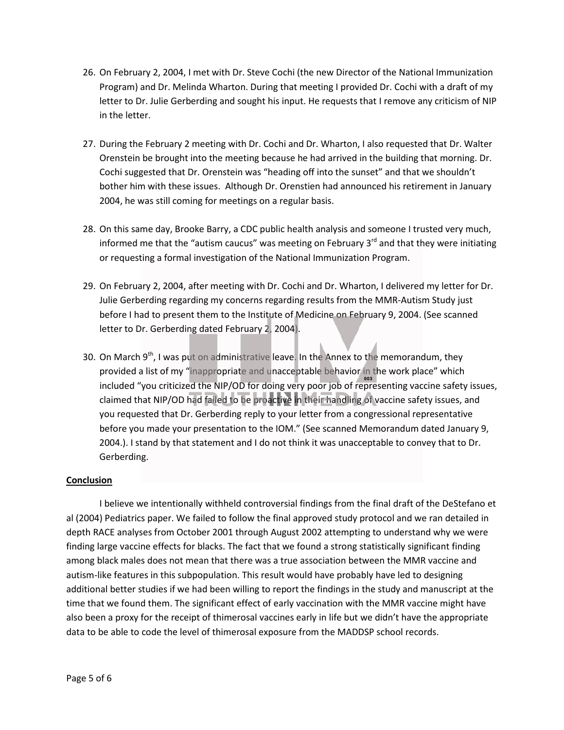- 26. On February 2, 2004, I met with Dr. Steve Cochi (the new Director of the National Immunization Program) and Dr. Melinda Wharton. During that meeting I provided Dr. Cochi with a draft of my letter to Dr. Julie Gerberding and sought his input. He requests that I remove any criticism of NIP in the letter.
- 27. During the February 2 meeting with Dr. Cochi and Dr. Wharton, I also requested that Dr. Walter Orenstein be brought into the meeting because he had arrived in the building that morning. Dr. Cochi suggested that Dr. Orenstein was "heading off into the sunset" and that we shouldn't bother him with these issues. Although Dr. Orenstien had announced his retirement in January 2004, he was still coming for meetings on a regular basis.
- 28. On this same day, Brooke Barry, a CDC public health analysis and someone I trusted very much, informed me that the "autism caucus" was meeting on February  $3<sup>rd</sup>$  and that they were initiating or requesting a formal investigation of the National Immunization Program.
- 29. On February 2, 2004, after meeting with Dr. Cochi and Dr. Wharton, I delivered my letter for Dr. Julie Gerberding regarding my concerns regarding results from the MMR-Autism Study just before I had to present them to the Institute of Medicine on February 9, 2004. (See scanned letter to Dr. Gerberding dated February 2, 2004).
- 30. On March 9<sup>th</sup>, I was put on administrative leave. In the Annex to the memorandum, they provided a list of my "inappropriate and unacceptable behavior in the work place" which **003**included "you criticized the NIP/OD for doing very poor job of representing vaccine safety issues, claimed that NIP/OD had failed to be proactive in their handling of vaccine safety issues, and you requested that Dr. Gerberding reply to your letter from a congressional representative before you made your presentation to the IOM." (See scanned Memorandum dated January 9, 2004.). I stand by that statement and I do not think it was unacceptable to convey that to Dr. Gerberding.

## **Conclusion**

I believe we intentionally withheld controversial findings from the final draft of the DeStefano et al (2004) Pediatrics paper. We failed to follow the final approved study protocol and we ran detailed in depth RACE analyses from October 2001 through August 2002 attempting to understand why we were finding large vaccine effects for blacks. The fact that we found a strong statistically significant finding among black males does not mean that there was a true association between the MMR vaccine and autism-like features in this subpopulation. This result would have probably have led to designing additional better studies if we had been willing to report the findings in the study and manuscript at the time that we found them. The significant effect of early vaccination with the MMR vaccine might have also been a proxy for the receipt of thimerosal vaccines early in life but we didn't have the appropriate data to be able to code the level of thimerosal exposure from the MADDSP school records.